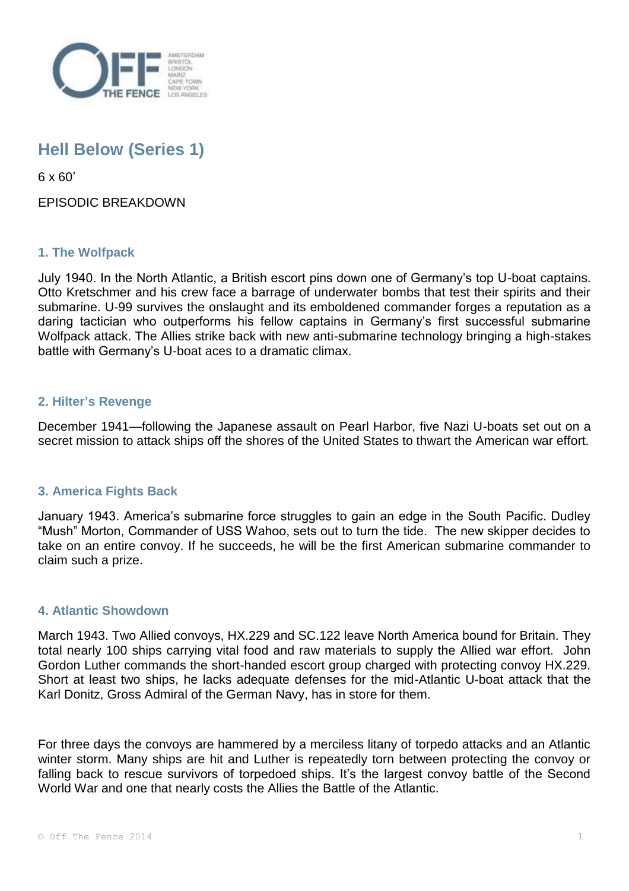

# **Hell Below (Series 1)**

6 x 60'

EPISODIC BREAKDOWN

# **1. The Wolfpack**

July 1940. In the North Atlantic, a British escort pins down one of Germany's top U-boat captains. Otto Kretschmer and his crew face a barrage of underwater bombs that test their spirits and their submarine. U-99 survives the onslaught and its emboldened commander forges a reputation as a daring tactician who outperforms his fellow captains in Germany's first successful submarine Wolfpack attack. The Allies strike back with new anti-submarine technology bringing a high-stakes battle with Germany's U-boat aces to a dramatic climax.

## **2. Hilter's Revenge**

December 1941—following the Japanese assault on Pearl Harbor, five Nazi U-boats set out on a secret mission to attack ships off the shores of the United States to thwart the American war effort.

## **3. America Fights Back**

January 1943. America's submarine force struggles to gain an edge in the South Pacific. Dudley "Mush" Morton, Commander of USS Wahoo, sets out to turn the tide. The new skipper decides to take on an entire convoy. If he succeeds, he will be the first American submarine commander to claim such a prize.

## **4. Atlantic Showdown**

March 1943. Two Allied convoys, HX.229 and SC.122 leave North America bound for Britain. They total nearly 100 ships carrying vital food and raw materials to supply the Allied war effort. John Gordon Luther commands the short-handed escort group charged with protecting convoy HX.229. Short at least two ships, he lacks adequate defenses for the mid-Atlantic U-boat attack that the Karl Donitz, Gross Admiral of the German Navy, has in store for them.

For three days the convoys are hammered by a merciless litany of torpedo attacks and an Atlantic winter storm. Many ships are hit and Luther is repeatedly torn between protecting the convoy or falling back to rescue survivors of torpedoed ships. It's the largest convoy battle of the Second World War and one that nearly costs the Allies the Battle of the Atlantic.